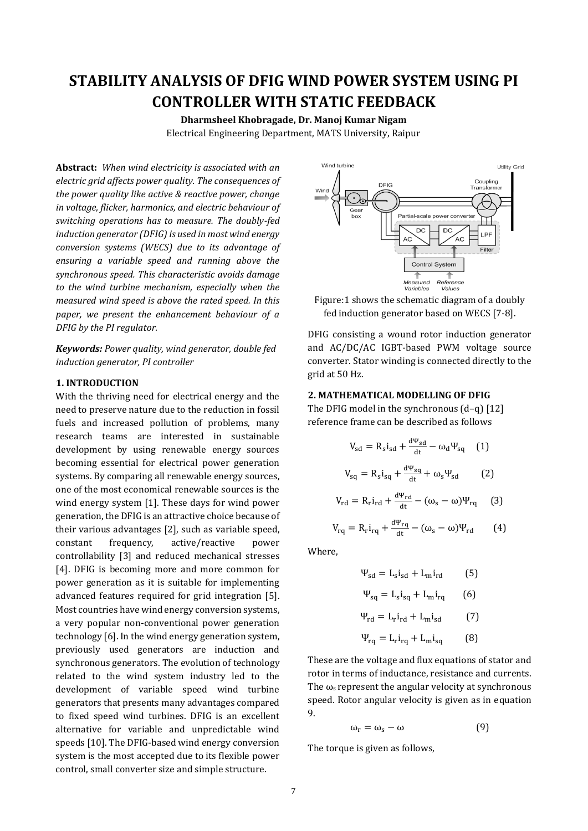# **STABILITY ANALYSIS OF DFIG WIND POWER SYSTEM USING PI CONTROLLER WITH STATIC FEEDBACK**

**Dharmsheel Khobragade, Dr. Manoj Kumar Nigam** Electrical Engineering Department, MATS University, Raipur

**Abstract:** *When wind electricity is associated with an electric grid affects power quality. The consequences of the power quality like active & reactive power, change in voltage, flicker, harmonics, and electric behaviour of switching operations has to measure. The doubly-fed induction generator (DFIG) is used in most wind energy conversion systems (WECS) due to its advantage of ensuring a variable speed and running above the synchronous speed. This characteristic avoids damage to the wind turbine mechanism, especially when the measured wind speed is above the rated speed. In this paper, we present the enhancement behaviour of a DFIG by the PI regulator.*

*Keywords: Power quality, wind generator, double fed induction generator, PI controller*

### **1. INTRODUCTION**

With the thriving need for electrical energy and the need to preserve nature due to the reduction in fossil fuels and increased pollution of problems, many research teams are interested in sustainable development by using renewable energy sources becoming essential for electrical power generation systems. By comparing all renewable energy sources, one of the most economical renewable sources is the wind energy system [1]. These days for wind power generation, the DFIG is an attractive choice because of their various advantages [2], such as variable speed, constant frequency, active/reactive power controllability [3] and reduced mechanical stresses [4]. DFIG is becoming more and more common for power generation as it is suitable for implementing advanced features required for grid integration [5]. Most countries have wind energy conversion systems, a very popular non-conventional power generation technology [6]. In the wind energy generation system, previously used generators are induction and synchronous generators. The evolution of technology related to the wind system industry led to the development of variable speed wind turbine generators that presents many advantages compared to fixed speed wind turbines. DFIG is an excellent alternative for variable and unpredictable wind speeds [10]. The DFIG-based wind energy conversion system is the most accepted due to its flexible power control, small converter size and simple structure.





DFIG consisting a wound rotor induction generator and AC/DC/AC IGBT-based PWM voltage source converter. Stator winding is connected directly to the grid at 50 Hz.

#### **2. MATHEMATICAL MODELLING OF DFIG**

The DFIG model in the synchronous (d–q) [12] reference frame can be described as follows

$$
V_{sd} = R_s i_{sd} + \frac{d\Psi_{sd}}{dt} - \omega_d \Psi_{sq} \quad (1)
$$
  

$$
V_{sq} = R_s i_{sq} + \frac{d\Psi_{sq}}{dt} + \omega_s \Psi_{sd} \qquad (2)
$$

$$
V_{\rm rd} = R_{\rm r} i_{\rm rd} + \frac{d\Psi_{\rm rd}}{dt} - (\omega_{\rm s} - \omega)\Psi_{\rm rq} \qquad (3)
$$

$$
V_{rq} = R_r i_{rq} + \frac{d\Psi_{rq}}{dt} - (\omega_s - \omega)\Psi_{rd}
$$
 (4)

Where,

$$
\Psi_{sd} = L_s i_{sd} + L_m i_{rd} \tag{5}
$$

$$
\Psi_{\text{sq}} = L_{\text{s}} i_{\text{sq}} + L_{\text{m}} i_{\text{rq}} \qquad (6)
$$

$$
\Psi_{\rm rd} = L_{\rm r} i_{\rm rd} + L_{\rm m} i_{\rm sd} \tag{7}
$$

$$
\Psi_{\rm rq} = L_{\rm r} i_{\rm rq} + L_{\rm m} i_{\rm sq} \tag{8}
$$

These are the voltage and flux equations of stator and rotor in terms of inductance, resistance and currents. The  $\omega$ <sub>s</sub> represent the angular velocity at synchronous speed. Rotor angular velocity is given as in equation 9.

$$
\omega_{\rm r} = \omega_{\rm s} - \omega \tag{9}
$$

The torque is given as follows,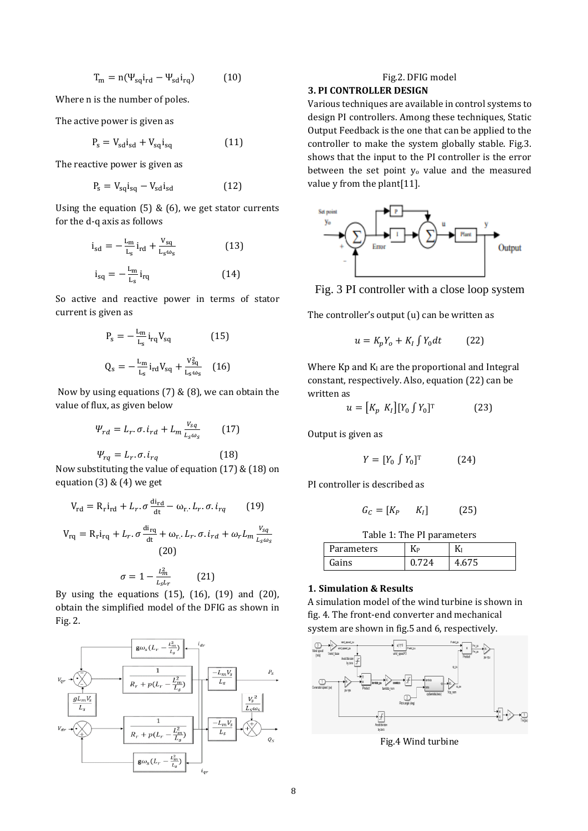$$
T_m = n(\Psi_{\text{sq}} i_{\text{rd}} - \Psi_{\text{sd}} i_{\text{rq}}) \tag{10}
$$

Where n is the number of poles.

The active power is given as

$$
P_s = V_{sd}i_{sd} + V_{sq}i_{sq}
$$
 (11)

The reactive power is given as

$$
P_s = V_{sq}i_{sq} - V_{sd}i_{sd} \tag{12}
$$

Using the equation (5) & (6), we get stator currents for the d-q axis as follows

$$
i_{sd} = -\frac{L_m}{L_s} i_{rd} + \frac{v_{sq}}{L_s \omega_s}
$$
(13)  

$$
i_{sq} = -\frac{L_m}{L_s} i_{rq}
$$
(14)

So active and reactive power in terms of stator current is given as

$$
P_s = -\frac{L_m}{L_s} i_{rq} V_{sq}
$$
 (15)  

$$
Q_s = -\frac{L_m}{L_s} i_{rd} V_{sq} + \frac{V_{sq}^2}{L_s \omega_s}
$$
 (16)

Now by using equations (7) & (8), we can obtain the value of flux, as given below

$$
\Psi_{rd} = L_r \cdot \sigma \cdot i_{rd} + L_m \frac{v_{sq}}{L_s \omega_s} \qquad (17)
$$

$$
\Psi_{rq} = L_r \cdot \sigma \cdot i_{rq}
$$

Now substituting the value of equation (17) & (18) on equation  $(3)$  &  $(4)$  we get

 $(18)$ 

$$
V_{\rm rd} = R_{\rm r} i_{\rm rd} + L_r. \sigma \frac{di_{\rm rd}}{dt} - \omega_{\rm r.} L_r. \sigma. i_{rq} \qquad (19)
$$

$$
V_{\rm rq} = R_{\rm r} i_{\rm rq} + L_r. \sigma \frac{di_{\rm rq}}{dt} + \omega_{\rm r.} L_r. \sigma. i_{rd} + \omega_r L_m \frac{v_{sq}}{L_s \omega_s}
$$

(20)  
\n
$$
\sigma = 1 - \frac{L_m^2}{L_c L_r}
$$
 (21)

By using the equations  $(15)$ ,  $(16)$ ,  $(19)$  and  $(20)$ , obtain the simplified model of the DFIG as shown in Fig. 2.



# Fig.2. DFIG model

## **3. PI CONTROLLER DESIGN**

Various techniques are available in control systems to design PI controllers. Among these techniques, Static Output Feedback is the one that can be applied to the controller to make the system globally stable. Fig.3. shows that the input to the PI controller is the error between the set point y<sub>o</sub> value and the measured value y from the plant[11].



Fig. 3 PI controller with a close loop system

The controller's output (u) can be written as

$$
u = K_p Y_o + K_I \int Y_0 dt \qquad (22)
$$

Where  $Kp$  and  $KI$  are the proportional and Integral constant, respectively. Also, equation (22) can be written as

$$
u = [K_p \ K_I] [Y_0 \int Y_0]^\mathrm{T} \tag{23}
$$

Output is given as

$$
Y = [Y_0 \int Y_0]^\mathrm{T} \tag{24}
$$

PI controller is described as

$$
G_C = [K_P \quad K_I] \quad (25)
$$

|  |  | Table 1: The PI parameters |
|--|--|----------------------------|
|--|--|----------------------------|

| Parameters |   |  |
|------------|---|--|
|            | 4 |  |

### **1. Simulation & Results**

A simulation model of the wind turbine is shown in fig. 4. The front-end converter and mechanical system are shown in fig.5 and 6, respectively.



Fig.4 Wind turbine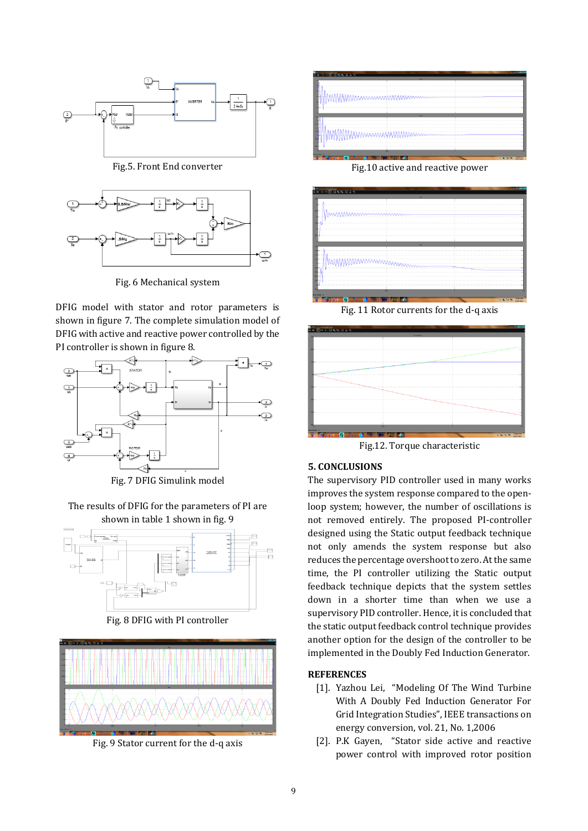

Fig.5. Front End converter



Fig. 6 Mechanical system

DFIG model with stator and rotor parameters is shown in figure 7. The complete simulation model of DFIG with active and reactive power controlled by the PI controller is shown in figure 8.



Fig. 7 DFIG Simulink model

The results of DFIG for the parameters of PI are shown in table 1 shown in fig. 9



Fig. 8 DFIG with PI controller



Fig. 9 Stator current for the d-q axis



Fig.10 active and reactive power



Fig. 11 Rotor currents for the d-q axis



Fig.12. Torque characteristic

#### **5. CONCLUSIONS**

The supervisory PID controller used in many works improves the system response compared to the openloop system; however, the number of oscillations is not removed entirely. The proposed PI-controller designed using the Static output feedback technique not only amends the system response but also reduces the percentage overshoot to zero. At the same time, the PI controller utilizing the Static output feedback technique depicts that the system settles down in a shorter time than when we use a supervisory PID controller. Hence, it is concluded that the static output feedback control technique provides another option for the design of the controller to be implemented in the Doubly Fed Induction Generator.

### **REFERENCES**

- [1]. Yazhou Lei, "Modeling Of The Wind Turbine With A Doubly Fed Induction Generator For Grid Integration Studies", IEEE transactions on energy conversion, vol. 21, No. 1,2006
- [2]. P.K Gayen, "Stator side active and reactive power control with improved rotor position